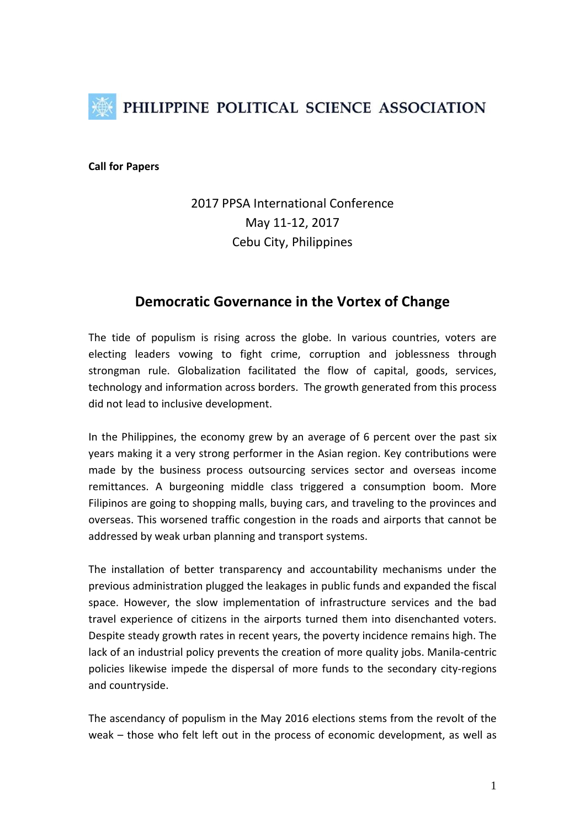

**Call for Papers**

# 2017 PPSA International Conference May 11-12, 2017 Cebu City, Philippines

# **Democratic Governance in the Vortex of Change**

The tide of populism is rising across the globe. In various countries, voters are electing leaders vowing to fight crime, corruption and joblessness through strongman rule. Globalization facilitated the flow of capital, goods, services, technology and information across borders. The growth generated from this process did not lead to inclusive development.

In the Philippines, the economy grew by an average of 6 percent over the past six years making it a very strong performer in the Asian region. Key contributions were made by the business process outsourcing services sector and overseas income remittances. A burgeoning middle class triggered a consumption boom. More Filipinos are going to shopping malls, buying cars, and traveling to the provinces and overseas. This worsened traffic congestion in the roads and airports that cannot be addressed by weak urban planning and transport systems.

The installation of better transparency and accountability mechanisms under the previous administration plugged the leakages in public funds and expanded the fiscal space. However, the slow implementation of infrastructure services and the bad travel experience of citizens in the airports turned them into disenchanted voters. Despite steady growth rates in recent years, the poverty incidence remains high. The lack of an industrial policy prevents the creation of more quality jobs. Manila-centric policies likewise impede the dispersal of more funds to the secondary city-regions and countryside.

The ascendancy of populism in the May 2016 elections stems from the revolt of the weak – those who felt left out in the process of economic development, as well as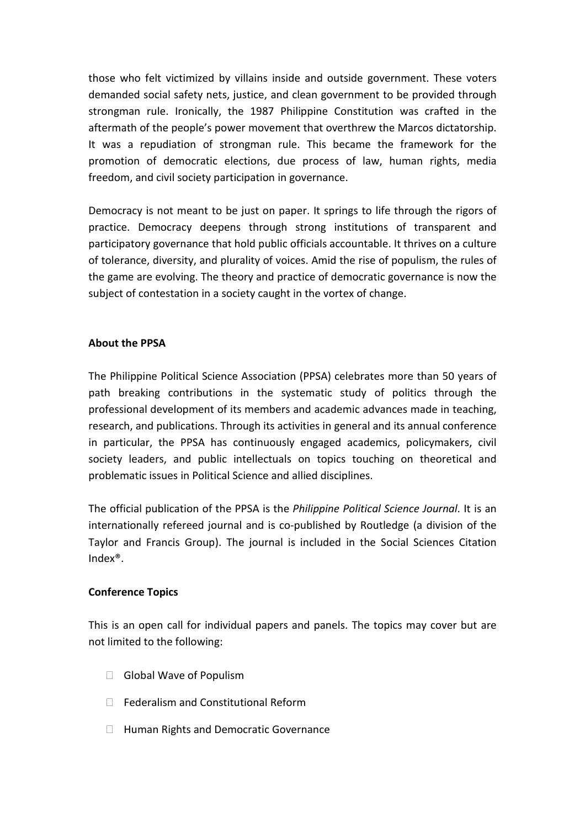those who felt victimized by villains inside and outside government. These voters demanded social safety nets, justice, and clean government to be provided through strongman rule. Ironically, the 1987 Philippine Constitution was crafted in the aftermath of the people's power movement that overthrew the Marcos dictatorship. It was a repudiation of strongman rule. This became the framework for the promotion of democratic elections, due process of law, human rights, media freedom, and civil society participation in governance.

Democracy is not meant to be just on paper. It springs to life through the rigors of practice. Democracy deepens through strong institutions of transparent and participatory governance that hold public officials accountable. It thrives on a culture of tolerance, diversity, and plurality of voices. Amid the rise of populism, the rules of the game are evolving. The theory and practice of democratic governance is now the subject of contestation in a society caught in the vortex of change.

## **About the PPSA**

The Philippine Political Science Association (PPSA) celebrates more than 50 years of path breaking contributions in the systematic study of politics through the professional development of its members and academic advances made in teaching, research, and publications. Through its activities in general and its annual conference in particular, the PPSA has continuously engaged academics, policymakers, civil society leaders, and public intellectuals on topics touching on theoretical and problematic issues in Political Science and allied disciplines.

The official publication of the PPSA is the *Philippine Political Science Journal*. It is an internationally refereed journal and is co-published by Routledge (a division of the Taylor and Francis Group). The journal is included in the Social Sciences Citation Index®.

#### **Conference Topics**

This is an open call for individual papers and panels. The topics may cover but are not limited to the following:

- $\Box$  Global Wave of Populism
- $\Box$  Federalism and Constitutional Reform
- □ Human Rights and Democratic Governance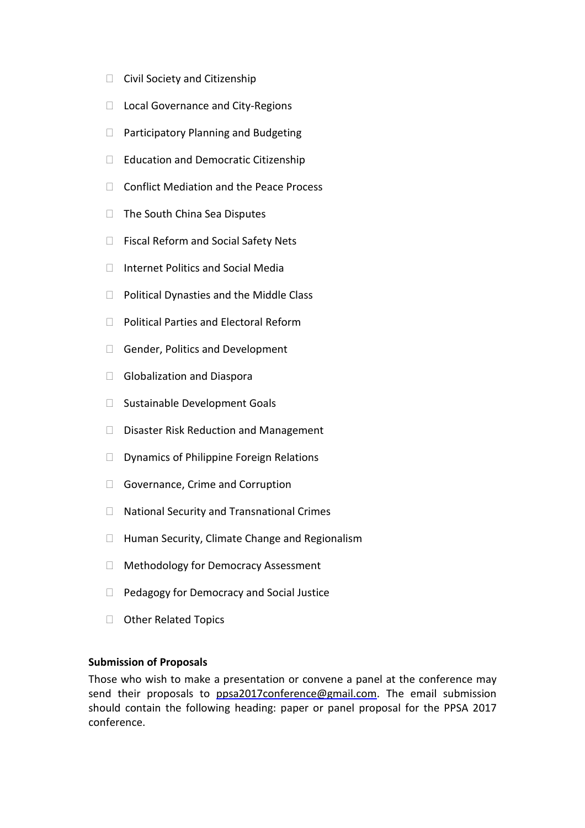- $\Box$  Civil Society and Citizenship
- □ Local Governance and City-Regions
- □ Participatory Planning and Budgeting
- $\Box$  Education and Democratic Citizenship
- □ Conflict Mediation and the Peace Process
- $\Box$  The South China Sea Disputes
- □ Fiscal Reform and Social Safety Nets
- $\Box$  Internet Politics and Social Media
- $\Box$  Political Dynasties and the Middle Class
- □ Political Parties and Electoral Reform
- Gender, Politics and Development
- Globalization and Diaspora
- □ Sustainable Development Goals
- $\Box$  Disaster Risk Reduction and Management
- $\Box$  Dynamics of Philippine Foreign Relations
- Governance, Crime and Corruption
- □ National Security and Transnational Crimes
- $\Box$  Human Security, Climate Change and Regionalism
- □ Methodology for Democracy Assessment
- $\Box$  Pedagogy for Democracy and Social Justice
- □ Other Related Topics

#### **Submission of Proposals**

Those who wish to make a presentation or convene a panel at the conference may send their proposals to [ppsa2017conference@gmail.com.](mailto:ppsa2017conference@gmail.com) The email submission should contain the following heading: paper or panel proposal for the PPSA 2017 conference.